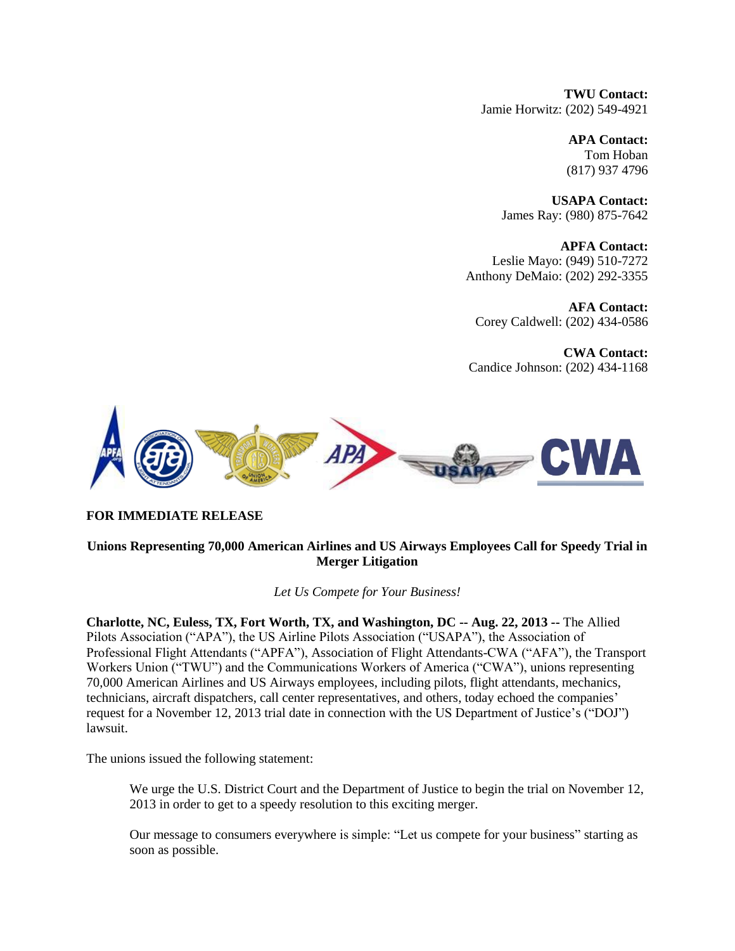**TWU Contact:** Jamie Horwitz: (202) 549-4921

> **APA Contact:** Tom Hoban (817) 937 4796

**USAPA Contact:** James Ray: (980) 875-7642

**APFA Contact:** Leslie Mayo: (949) 510-7272 Anthony DeMaio: (202) 292-3355

**AFA Contact:** Corey Caldwell: (202) 434-0586

**CWA Contact:** Candice Johnson: (202) 434-1168



### **FOR IMMEDIATE RELEASE**

## **Unions Representing 70,000 American Airlines and US Airways Employees Call for Speedy Trial in Merger Litigation**

*Let Us Compete for Your Business!*

**Charlotte, NC, Euless, TX, Fort Worth, TX, and Washington, DC -- Aug. 22, 2013 --** The Allied Pilots Association ("APA"), the US Airline Pilots Association ("USAPA"), the Association of Professional Flight Attendants ("APFA"), Association of Flight Attendants-CWA ("AFA"), the Transport Workers Union ("TWU") and the Communications Workers of America ("CWA"), unions representing 70,000 American Airlines and US Airways employees, including pilots, flight attendants, mechanics, technicians, aircraft dispatchers, call center representatives, and others, today echoed the companies' request for a November 12, 2013 trial date in connection with the US Department of Justice's ("DOJ") lawsuit.

The unions issued the following statement:

We urge the U.S. District Court and the Department of Justice to begin the trial on November 12, 2013 in order to get to a speedy resolution to this exciting merger.

Our message to consumers everywhere is simple: "Let us compete for your business" starting as soon as possible.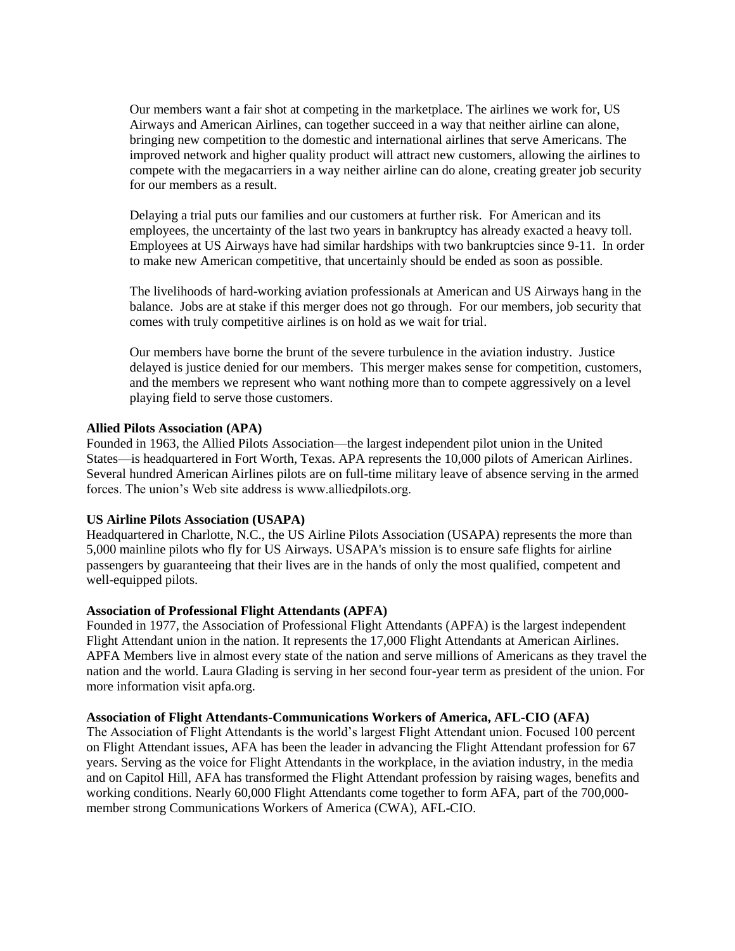Our members want a fair shot at competing in the marketplace. The airlines we work for, US Airways and American Airlines, can together succeed in a way that neither airline can alone, bringing new competition to the domestic and international airlines that serve Americans. The improved network and higher quality product will attract new customers, allowing the airlines to compete with the megacarriers in a way neither airline can do alone, creating greater job security for our members as a result.

Delaying a trial puts our families and our customers at further risk. For American and its employees, the uncertainty of the last two years in bankruptcy has already exacted a heavy toll. Employees at US Airways have had similar hardships with two bankruptcies since 9-11. In order to make new American competitive, that uncertainly should be ended as soon as possible.

The livelihoods of hard-working aviation professionals at American and US Airways hang in the balance. Jobs are at stake if this merger does not go through. For our members, job security that comes with truly competitive airlines is on hold as we wait for trial.

Our members have borne the brunt of the severe turbulence in the aviation industry. Justice delayed is justice denied for our members. This merger makes sense for competition, customers, and the members we represent who want nothing more than to compete aggressively on a level playing field to serve those customers.

# **Allied Pilots Association (APA)**

Founded in 1963, the Allied Pilots Association—the largest independent pilot union in the United States—is headquartered in Fort Worth, Texas. APA represents the 10,000 pilots of American Airlines. Several hundred American Airlines pilots are on full-time military leave of absence serving in the armed forces. The union's Web site address is www.alliedpilots.org.

### **US Airline Pilots Association (USAPA)**

Headquartered in Charlotte, N.C., the US Airline Pilots Association (USAPA) represents the more than 5,000 mainline pilots who fly for US Airways. USAPA's mission is to ensure safe flights for airline passengers by guaranteeing that their lives are in the hands of only the most qualified, competent and well-equipped pilots.

# **Association of Professional Flight Attendants (APFA)**

Founded in 1977, the Association of Professional Flight Attendants (APFA) is the largest independent Flight Attendant union in the nation. It represents the 17,000 Flight Attendants at American Airlines. APFA Members live in almost every state of the nation and serve millions of Americans as they travel the nation and the world. Laura Glading is serving in her second four-year term as president of the union. For more information visit apfa.org.

### **Association of Flight Attendants-Communications Workers of America, AFL-CIO (AFA)**

The Association of Flight Attendants is the world's largest Flight Attendant union. Focused 100 percent on Flight Attendant issues, AFA has been the leader in advancing the Flight Attendant profession for 67 years. Serving as the voice for Flight Attendants in the workplace, in the aviation industry, in the media and on Capitol Hill, AFA has transformed the Flight Attendant profession by raising wages, benefits and working conditions. Nearly 60,000 Flight Attendants come together to form AFA, part of the 700,000 member strong Communications Workers of America (CWA), AFL-CIO.